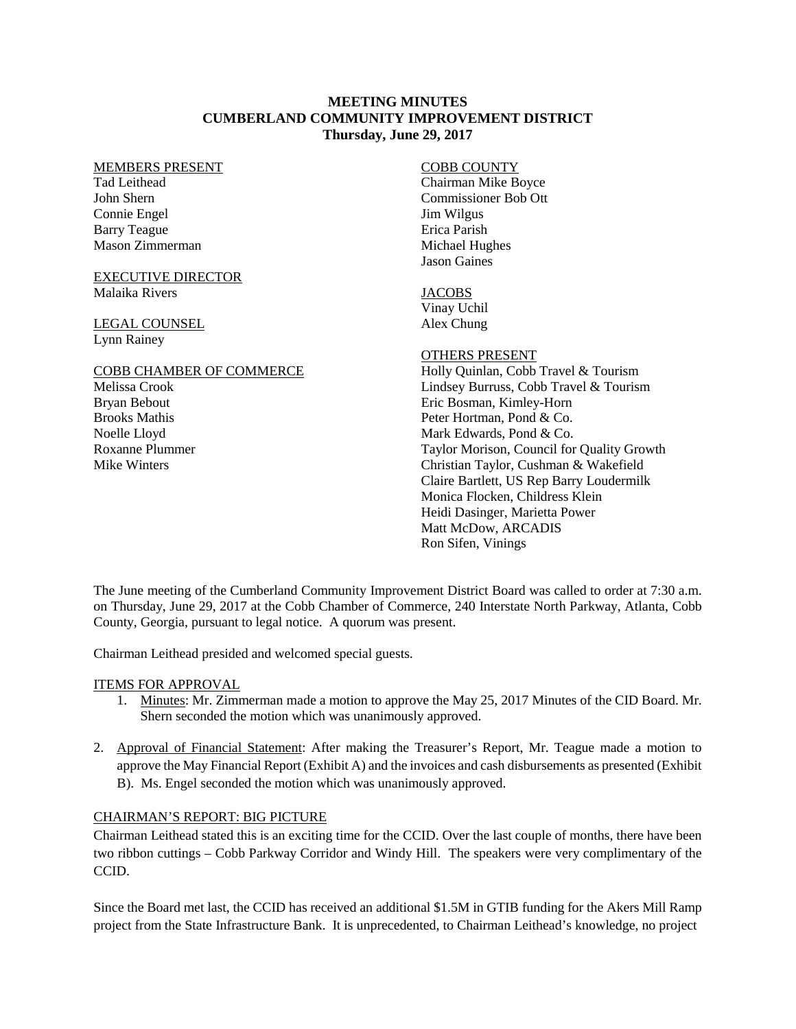## **MEETING MINUTES CUMBERLAND COMMUNITY IMPROVEMENT DISTRICT Thursday, June 29, 2017**

#### MEMBERS PRESENT

Tad Leithead John Shern Connie Engel Barry Teague Mason Zimmerman

#### EXECUTIVE DIRECTOR Malaika Rivers

# LEGAL COUNSEL Lynn Rainey

### COBB CHAMBER OF COMMERCE Melissa Crook Bryan Bebout

Brooks Mathis Noelle Lloyd Roxanne Plummer Mike Winters

# COBB COUNTY

Chairman Mike Boyce Commissioner Bob Ott Jim Wilgus Erica Parish Michael Hughes Jason Gaines

## **JACOBS**

Vinay Uchil Alex Chung

# OTHERS PRESENT

Holly Quinlan, Cobb Travel & Tourism Lindsey Burruss, Cobb Travel & Tourism Eric Bosman, Kimley-Horn Peter Hortman, Pond & Co. Mark Edwards, Pond & Co. Taylor Morison, Council for Quality Growth Christian Taylor, Cushman & Wakefield Claire Bartlett, US Rep Barry Loudermilk Monica Flocken, Childress Klein Heidi Dasinger, Marietta Power Matt McDow, ARCADIS Ron Sifen, Vinings

The June meeting of the Cumberland Community Improvement District Board was called to order at 7:30 a.m. on Thursday, June 29, 2017 at the Cobb Chamber of Commerce, 240 Interstate North Parkway, Atlanta, Cobb County, Georgia, pursuant to legal notice. A quorum was present.

Chairman Leithead presided and welcomed special guests.

# ITEMS FOR APPROVAL

- 1. Minutes: Mr. Zimmerman made a motion to approve the May 25, 2017 Minutes of the CID Board. Mr. Shern seconded the motion which was unanimously approved.
- 2. Approval of Financial Statement: After making the Treasurer's Report, Mr. Teague made a motion to approve the May Financial Report (Exhibit A) and the invoices and cash disbursements as presented (Exhibit B). Ms. Engel seconded the motion which was unanimously approved.

# CHAIRMAN'S REPORT: BIG PICTURE

Chairman Leithead stated this is an exciting time for the CCID. Over the last couple of months, there have been two ribbon cuttings – Cobb Parkway Corridor and Windy Hill. The speakers were very complimentary of the CCID.

Since the Board met last, the CCID has received an additional \$1.5M in GTIB funding for the Akers Mill Ramp project from the State Infrastructure Bank. It is unprecedented, to Chairman Leithead's knowledge, no project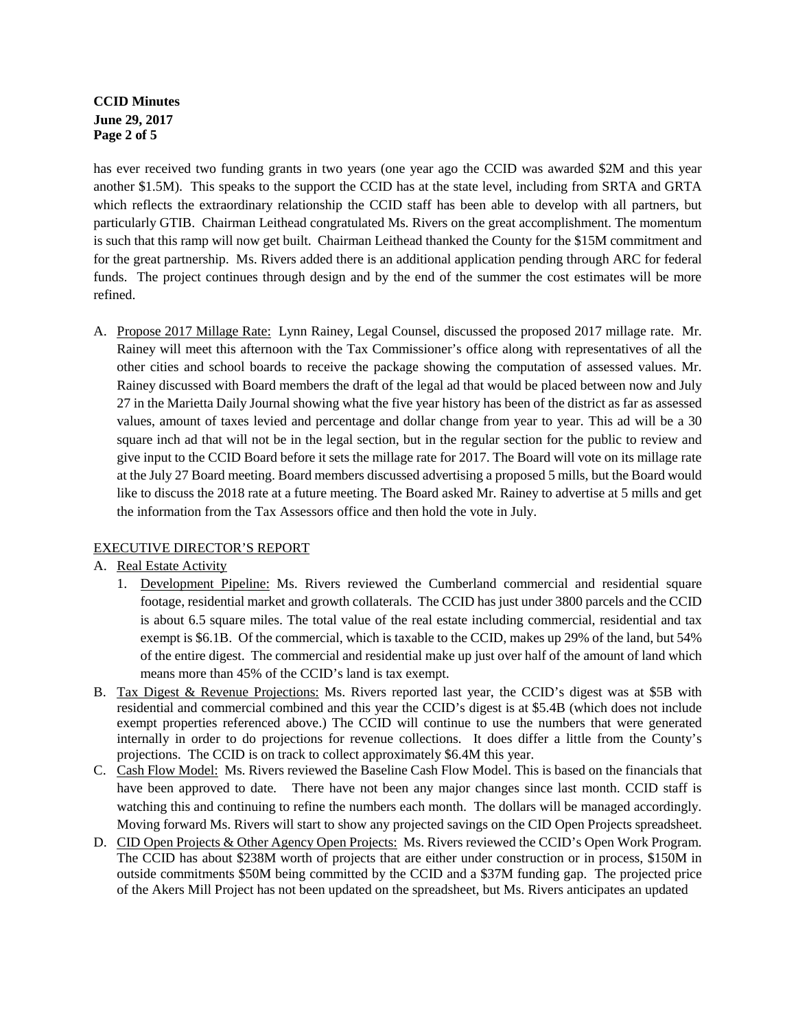# **CCID Minutes June 29, 2017 Page 2 of 5**

has ever received two funding grants in two years (one year ago the CCID was awarded \$2M and this year another \$1.5M). This speaks to the support the CCID has at the state level, including from SRTA and GRTA which reflects the extraordinary relationship the CCID staff has been able to develop with all partners, but particularly GTIB. Chairman Leithead congratulated Ms. Rivers on the great accomplishment. The momentum is such that this ramp will now get built. Chairman Leithead thanked the County for the \$15M commitment and for the great partnership. Ms. Rivers added there is an additional application pending through ARC for federal funds. The project continues through design and by the end of the summer the cost estimates will be more refined.

A. Propose 2017 Millage Rate: Lynn Rainey, Legal Counsel, discussed the proposed 2017 millage rate. Mr. Rainey will meet this afternoon with the Tax Commissioner's office along with representatives of all the other cities and school boards to receive the package showing the computation of assessed values. Mr. Rainey discussed with Board members the draft of the legal ad that would be placed between now and July 27 in the Marietta Daily Journal showing what the five year history has been of the district as far as assessed values, amount of taxes levied and percentage and dollar change from year to year. This ad will be a 30 square inch ad that will not be in the legal section, but in the regular section for the public to review and give input to the CCID Board before it sets the millage rate for 2017. The Board will vote on its millage rate at the July 27 Board meeting. Board members discussed advertising a proposed 5 mills, but the Board would like to discuss the 2018 rate at a future meeting. The Board asked Mr. Rainey to advertise at 5 mills and get the information from the Tax Assessors office and then hold the vote in July.

# EXECUTIVE DIRECTOR'S REPORT

# A. Real Estate Activity

- 1. Development Pipeline: Ms. Rivers reviewed the Cumberland commercial and residential square footage, residential market and growth collaterals. The CCID has just under 3800 parcels and the CCID is about 6.5 square miles. The total value of the real estate including commercial, residential and tax exempt is \$6.1B. Of the commercial, which is taxable to the CCID, makes up 29% of the land, but 54% of the entire digest. The commercial and residential make up just over half of the amount of land which means more than 45% of the CCID's land is tax exempt.
- B. Tax Digest & Revenue Projections: Ms. Rivers reported last year, the CCID's digest was at \$5B with residential and commercial combined and this year the CCID's digest is at \$5.4B (which does not include exempt properties referenced above.) The CCID will continue to use the numbers that were generated internally in order to do projections for revenue collections. It does differ a little from the County's projections. The CCID is on track to collect approximately \$6.4M this year.
- C. Cash Flow Model: Ms. Rivers reviewed the Baseline Cash Flow Model. This is based on the financials that have been approved to date. There have not been any major changes since last month. CCID staff is watching this and continuing to refine the numbers each month. The dollars will be managed accordingly. Moving forward Ms. Rivers will start to show any projected savings on the CID Open Projects spreadsheet.
- D. CID Open Projects & Other Agency Open Projects: Ms. Rivers reviewed the CCID's Open Work Program. The CCID has about \$238M worth of projects that are either under construction or in process, \$150M in outside commitments \$50M being committed by the CCID and a \$37M funding gap. The projected price of the Akers Mill Project has not been updated on the spreadsheet, but Ms. Rivers anticipates an updated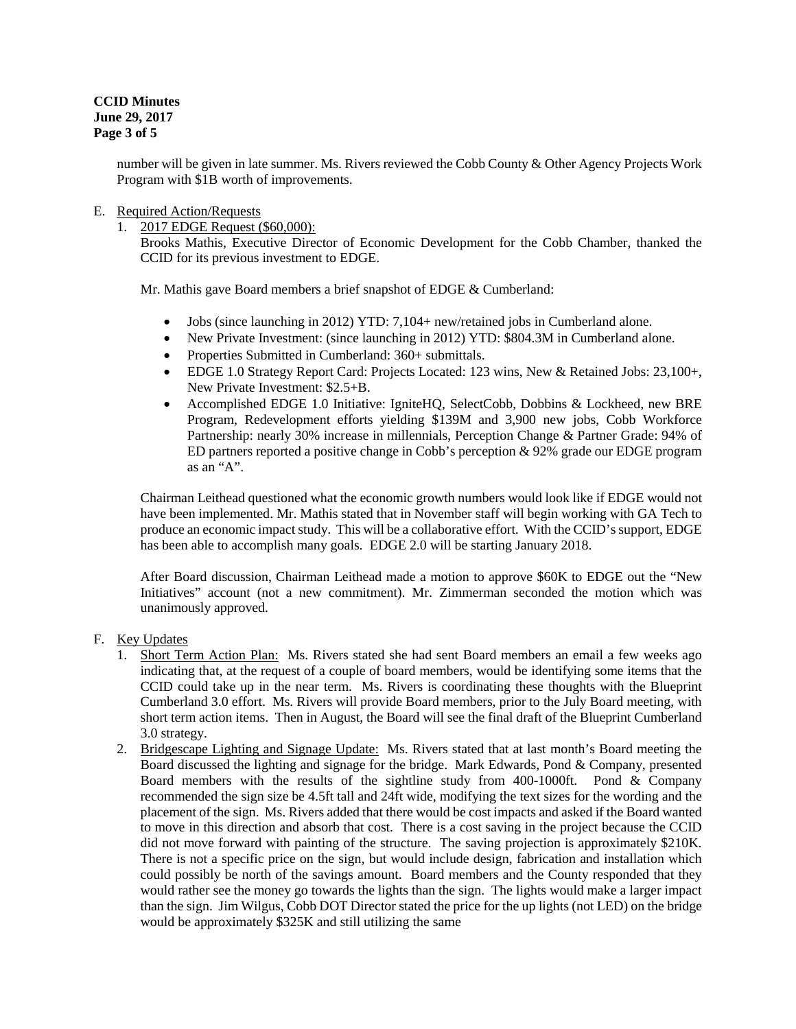**CCID Minutes June 29, 2017 Page 3 of 5**

> number will be given in late summer. Ms. Rivers reviewed the Cobb County & Other Agency Projects Work Program with \$1B worth of improvements.

## E. Required Action/Requests

1. 2017 EDGE Request (\$60,000):

Brooks Mathis, Executive Director of Economic Development for the Cobb Chamber, thanked the CCID for its previous investment to EDGE.

Mr. Mathis gave Board members a brief snapshot of EDGE & Cumberland:

- Jobs (since launching in 2012) YTD: 7,104+ new/retained jobs in Cumberland alone.
- New Private Investment: (since launching in 2012) YTD: \$804.3M in Cumberland alone.
- Properties Submitted in Cumberland: 360+ submittals.
- EDGE 1.0 Strategy Report Card: Projects Located: 123 wins, New & Retained Jobs: 23,100+, New Private Investment: \$2.5+B.
- Accomplished EDGE 1.0 Initiative: IgniteHO, SelectCobb, Dobbins & Lockheed, new BRE Program, Redevelopment efforts yielding \$139M and 3,900 new jobs, Cobb Workforce Partnership: nearly 30% increase in millennials, Perception Change & Partner Grade: 94% of ED partners reported a positive change in Cobb's perception & 92% grade our EDGE program as an "A".

Chairman Leithead questioned what the economic growth numbers would look like if EDGE would not have been implemented. Mr. Mathis stated that in November staff will begin working with GA Tech to produce an economic impact study. This will be a collaborative effort. With the CCID's support, EDGE has been able to accomplish many goals. EDGE 2.0 will be starting January 2018.

After Board discussion, Chairman Leithead made a motion to approve \$60K to EDGE out the "New Initiatives" account (not a new commitment). Mr. Zimmerman seconded the motion which was unanimously approved.

### F. Key Updates

- 1. Short Term Action Plan: Ms. Rivers stated she had sent Board members an email a few weeks ago indicating that, at the request of a couple of board members, would be identifying some items that the CCID could take up in the near term. Ms. Rivers is coordinating these thoughts with the Blueprint Cumberland 3.0 effort. Ms. Rivers will provide Board members, prior to the July Board meeting, with short term action items. Then in August, the Board will see the final draft of the Blueprint Cumberland 3.0 strategy.
- 2. Bridgescape Lighting and Signage Update: Ms. Rivers stated that at last month's Board meeting the Board discussed the lighting and signage for the bridge. Mark Edwards, Pond & Company, presented Board members with the results of the sightline study from 400-1000ft. Pond & Company recommended the sign size be 4.5ft tall and 24ft wide, modifying the text sizes for the wording and the placement of the sign. Ms. Rivers added that there would be cost impacts and asked if the Board wanted to move in this direction and absorb that cost. There is a cost saving in the project because the CCID did not move forward with painting of the structure. The saving projection is approximately \$210K. There is not a specific price on the sign, but would include design, fabrication and installation which could possibly be north of the savings amount. Board members and the County responded that they would rather see the money go towards the lights than the sign. The lights would make a larger impact than the sign. Jim Wilgus, Cobb DOT Director stated the price for the up lights (not LED) on the bridge would be approximately \$325K and still utilizing the same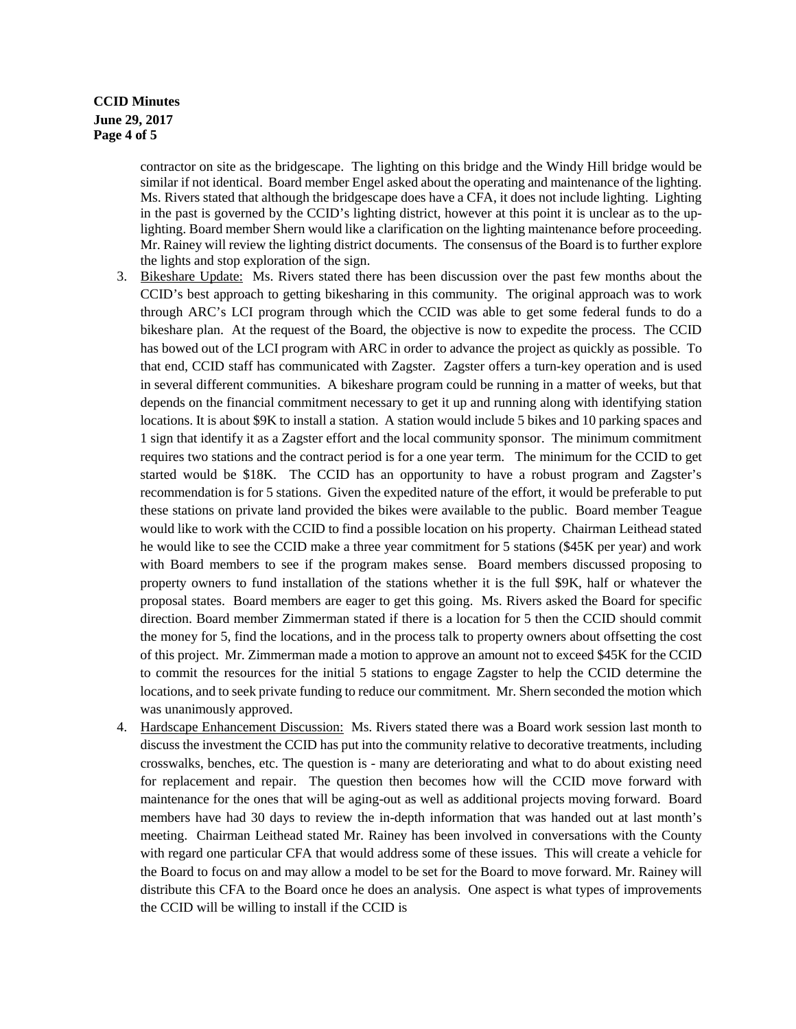# **CCID Minutes June 29, 2017 Page 4 of 5**

contractor on site as the bridgescape. The lighting on this bridge and the Windy Hill bridge would be similar if not identical. Board member Engel asked about the operating and maintenance of the lighting. Ms. Rivers stated that although the bridgescape does have a CFA, it does not include lighting. Lighting in the past is governed by the CCID's lighting district, however at this point it is unclear as to the uplighting. Board member Shern would like a clarification on the lighting maintenance before proceeding. Mr. Rainey will review the lighting district documents. The consensus of the Board is to further explore the lights and stop exploration of the sign.

- 3. Bikeshare Update: Ms. Rivers stated there has been discussion over the past few months about the CCID's best approach to getting bikesharing in this community. The original approach was to work through ARC's LCI program through which the CCID was able to get some federal funds to do a bikeshare plan. At the request of the Board, the objective is now to expedite the process. The CCID has bowed out of the LCI program with ARC in order to advance the project as quickly as possible. To that end, CCID staff has communicated with Zagster. Zagster offers a turn-key operation and is used in several different communities. A bikeshare program could be running in a matter of weeks, but that depends on the financial commitment necessary to get it up and running along with identifying station locations. It is about \$9K to install a station. A station would include 5 bikes and 10 parking spaces and 1 sign that identify it as a Zagster effort and the local community sponsor. The minimum commitment requires two stations and the contract period is for a one year term. The minimum for the CCID to get started would be \$18K. The CCID has an opportunity to have a robust program and Zagster's recommendation is for 5 stations. Given the expedited nature of the effort, it would be preferable to put these stations on private land provided the bikes were available to the public. Board member Teague would like to work with the CCID to find a possible location on his property. Chairman Leithead stated he would like to see the CCID make a three year commitment for 5 stations (\$45K per year) and work with Board members to see if the program makes sense. Board members discussed proposing to property owners to fund installation of the stations whether it is the full \$9K, half or whatever the proposal states. Board members are eager to get this going. Ms. Rivers asked the Board for specific direction. Board member Zimmerman stated if there is a location for 5 then the CCID should commit the money for 5, find the locations, and in the process talk to property owners about offsetting the cost of this project. Mr. Zimmerman made a motion to approve an amount not to exceed \$45K for the CCID to commit the resources for the initial 5 stations to engage Zagster to help the CCID determine the locations, and to seek private funding to reduce our commitment. Mr. Shern seconded the motion which was unanimously approved.
- 4. Hardscape Enhancement Discussion: Ms. Rivers stated there was a Board work session last month to discuss the investment the CCID has put into the community relative to decorative treatments, including crosswalks, benches, etc. The question is - many are deteriorating and what to do about existing need for replacement and repair. The question then becomes how will the CCID move forward with maintenance for the ones that will be aging-out as well as additional projects moving forward. Board members have had 30 days to review the in-depth information that was handed out at last month's meeting. Chairman Leithead stated Mr. Rainey has been involved in conversations with the County with regard one particular CFA that would address some of these issues. This will create a vehicle for the Board to focus on and may allow a model to be set for the Board to move forward. Mr. Rainey will distribute this CFA to the Board once he does an analysis. One aspect is what types of improvements the CCID will be willing to install if the CCID is